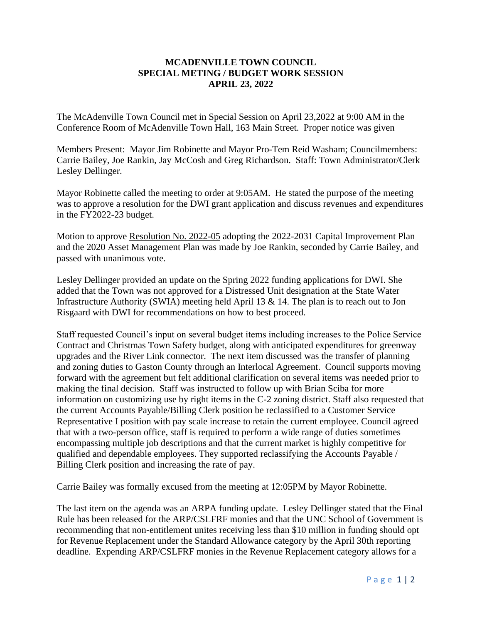## **MCADENVILLE TOWN COUNCIL SPECIAL METING / BUDGET WORK SESSION APRIL 23, 2022**

The McAdenville Town Council met in Special Session on April 23,2022 at 9:00 AM in the Conference Room of McAdenville Town Hall, 163 Main Street. Proper notice was given

Members Present: Mayor Jim Robinette and Mayor Pro-Tem Reid Washam; Councilmembers: Carrie Bailey, Joe Rankin, Jay McCosh and Greg Richardson. Staff: Town Administrator/Clerk Lesley Dellinger.

Mayor Robinette called the meeting to order at 9:05AM. He stated the purpose of the meeting was to approve a resolution for the DWI grant application and discuss revenues and expenditures in the FY2022-23 budget.

Motion to approve Resolution No. 2022-05 adopting the 2022-2031 Capital Improvement Plan and the 2020 Asset Management Plan was made by Joe Rankin, seconded by Carrie Bailey, and passed with unanimous vote.

Lesley Dellinger provided an update on the Spring 2022 funding applications for DWI. She added that the Town was not approved for a Distressed Unit designation at the State Water Infrastructure Authority (SWIA) meeting held April 13 & 14. The plan is to reach out to Jon Risgaard with DWI for recommendations on how to best proceed.

Staff requested Council's input on several budget items including increases to the Police Service Contract and Christmas Town Safety budget, along with anticipated expenditures for greenway upgrades and the River Link connector. The next item discussed was the transfer of planning and zoning duties to Gaston County through an Interlocal Agreement. Council supports moving forward with the agreement but felt additional clarification on several items was needed prior to making the final decision. Staff was instructed to follow up with Brian Sciba for more information on customizing use by right items in the C-2 zoning district. Staff also requested that the current Accounts Payable/Billing Clerk position be reclassified to a Customer Service Representative I position with pay scale increase to retain the current employee. Council agreed that with a two-person office, staff is required to perform a wide range of duties sometimes encompassing multiple job descriptions and that the current market is highly competitive for qualified and dependable employees. They supported reclassifying the Accounts Payable / Billing Clerk position and increasing the rate of pay.

Carrie Bailey was formally excused from the meeting at 12:05PM by Mayor Robinette.

The last item on the agenda was an ARPA funding update. Lesley Dellinger stated that the Final Rule has been released for the ARP/CSLFRF monies and that the UNC School of Government is recommending that non-entitlement unites receiving less than \$10 million in funding should opt for Revenue Replacement under the Standard Allowance category by the April 30th reporting deadline. Expending ARP/CSLFRF monies in the Revenue Replacement category allows for a